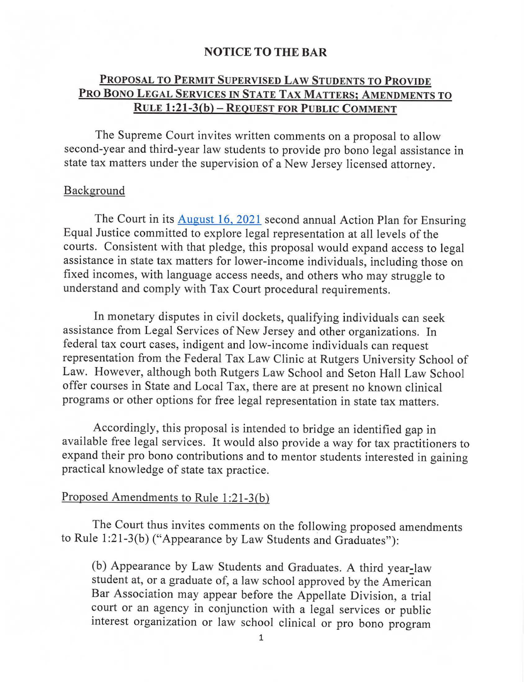## **NOTICE TO THE BAR**

## **PROPOSAL TO PERMIT SUPERVISED LAW STUDENTS TO PROVIDE PRO BONO LEGAL SERVICES IN STATE TAX MATTERS; AMENDMENTS TO RULE 1:21-3(b)-RE0UEST FOR PUBLIC COMMENT**

The Supreme Court invites written comments on a proposal to allow second-year and third-year law students to provide pro bono legal assistance in state tax matters under the supervision of a New Jersey licensed attorney.

## Background

The Court in its [August 16, 2021](https://www.njcourts.gov/public/assets/supremectactionplan2021.pdf?c=2X0) second annual Action Plan for Ensuring Equal Justice committed to explore legal representation at all levels of the courts. Consistent with that pledge, this proposal would expand access to legal assistance in state tax matters for lower-income individuals, including those on fixed incomes, with language access needs, and others who may struggle to understand and comply with Tax Court procedural requirements.

In monetary disputes in civil dockets, qualifying individuals can seek assistance from Legal Services of New Jersey and other organizations. In federal tax court cases, indigent and low-income individuals can request representation from the Federal Tax Law Clinic at Rutgers University School of Law. However, although both Rutgers Law School and Seton Hall Law School offer courses in State and Local Tax, there are at present no known clinical programs or other options for free legal representation in state tax matters.

Accordingly, this proposal is intended to bridge an identified gap in available free legal services. It would also provide a way for tax practitioners to expand their pro bono contributions and to mentor students interested in gaining practical knowledge of state tax practice.

## Proposed Amendments to Rule 1:21-3(b)

The Court thus invites comments on the following proposed amendments to Rule l:21-3(b) ("Appearance by Law Students and Graduates"):

(b) Appearance by Law Students and Graduates. A third year-law student at, or a graduate of, a law school approved by the American Bar Association may appear before the Appellate Division, a trial court or an agency in conjunction with a legal services or public interest organization or law school clinical or pro bono program